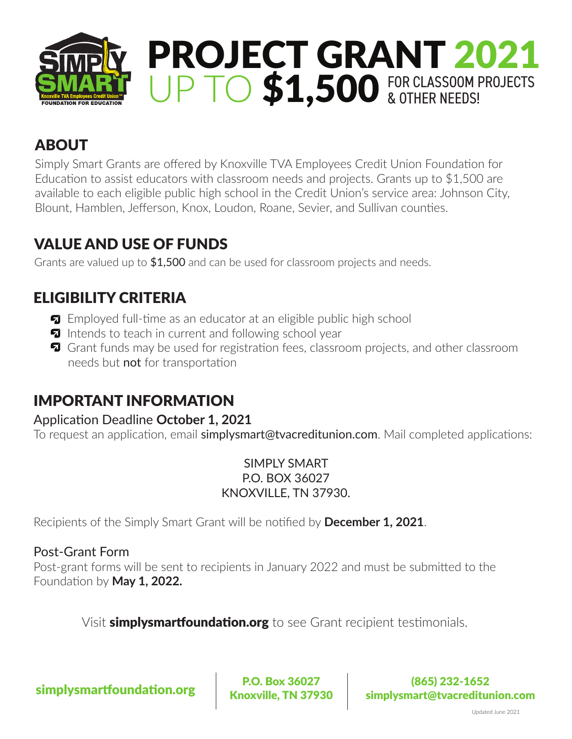

# ABOUT

Simply Smart Grants are offered by Knoxville TVA Employees Credit Union Foundation for Education to assist educators with classroom needs and projects. Grants up to \$1,500 are available to each eligible public high school in the Credit Union's service area: Johnson City, Blount, Hamblen, Jefferson, Knox, Loudon, Roane, Sevier, and Sullivan counties.

# VALUE AND USE OF FUNDS

Grants are valued up to \$1,500 and can be used for classroom projects and needs.

## ELIGIBILITY CRITERIA

- **EX** Employed full-time as an educator at an eligible public high school
- $\blacksquare$  Intends to teach in current and following school year
- **T** Grant funds may be used for registration fees, classroom projects, and other classroom needs but not for transportation

#### IMPORTANT INFORMATION

#### Application Deadline **October 1, 2021**

To request an application, email simplysmart@tvacreditunion.com. Mail completed applications:

SIMPLY SMART P.O. BOX 36027 KNOXVILLE, TN 37930.

Recipients of the Simply Smart Grant will be notified by **December 1, 2021**.

#### Post-Grant Form

Post-grant forms will be sent to recipients in January 2022 and must be submitted to the Foundation by **May 1, 2022.**

Visit **simplysmartfoundation.org** to see Grant recipient testimonials.

 $\left\vert \text{Simplysmartfoundation.org} \right\vert \left\vert \text{R.0. Box 36027} \right\vert$ 

Knoxville, TN 37930

(865) 232-1652 simplysmart@tvacreditunion.com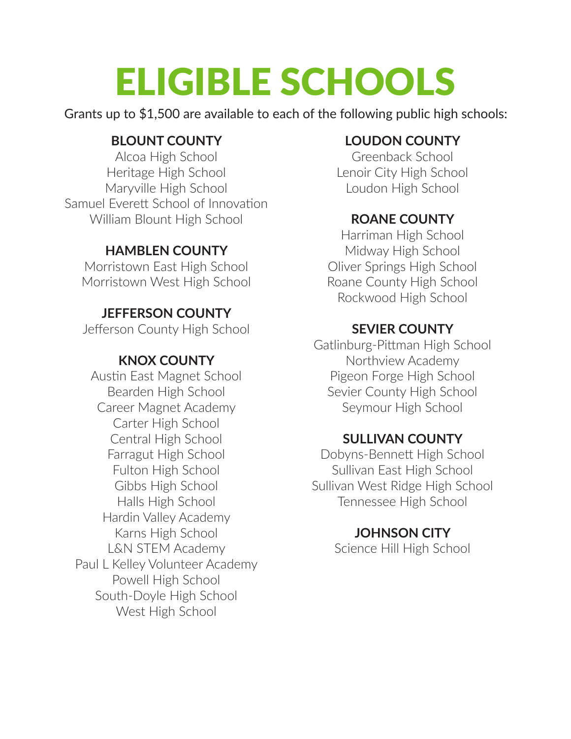# ELIGIBLE SCHOOLS

Grants up to \$1,500 are available to each of the following public high schools:

#### **BLOUNT COUNTY**

Alcoa High School Heritage High School Maryville High School Samuel Everett School of Innovation William Blount High School

#### **HAMBLEN COUNTY**

Morristown East High School Morristown West High School

#### **JEFFERSON COUNTY**

Jefferson County High School

#### **KNOX COUNTY**

Austin East Magnet School Bearden High School Career Magnet Academy Carter High School Central High School Farragut High School Fulton High School Gibbs High School Halls High School Hardin Valley Academy Karns High School L&N STEM Academy Paul L Kelley Volunteer Academy Powell High School South-Doyle High School West High School

#### **LOUDON COUNTY**

Greenback School Lenoir City High School Loudon High School

#### **ROANE COUNTY**

Harriman High School Midway High School Oliver Springs High School Roane County High School Rockwood High School

#### **SEVIER COUNTY**

Gatlinburg-Pittman High School Northview Academy Pigeon Forge High School Sevier County High School Seymour High School

#### **SULLIVAN COUNTY**

Dobyns-Bennett High School Sullivan East High School Sullivan West Ridge High School Tennessee High School

#### **JOHNSON CITY**

Science Hill High School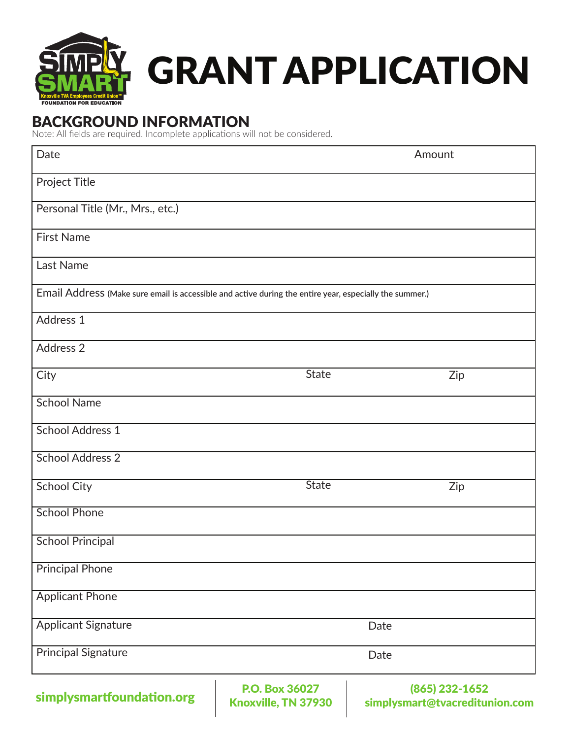

# GRANT APPLICATION

## BACKGROUND INFORMATION

Note: All fields are required. Incomplete applications will not be considered.

| Date                                                                                                    |                                     | Amount                                           |
|---------------------------------------------------------------------------------------------------------|-------------------------------------|--------------------------------------------------|
| Project Title                                                                                           |                                     |                                                  |
| Personal Title (Mr., Mrs., etc.)                                                                        |                                     |                                                  |
| <b>First Name</b>                                                                                       |                                     |                                                  |
| Last Name                                                                                               |                                     |                                                  |
| Email Address (Make sure email is accessible and active during the entire year, especially the summer.) |                                     |                                                  |
| Address 1                                                                                               |                                     |                                                  |
| Address 2                                                                                               |                                     |                                                  |
| City                                                                                                    | <b>State</b>                        | Zip                                              |
| <b>School Name</b>                                                                                      |                                     |                                                  |
| <b>School Address 1</b>                                                                                 |                                     |                                                  |
| <b>School Address 2</b>                                                                                 |                                     |                                                  |
| <b>School City</b>                                                                                      | <b>State</b>                        | Zip                                              |
| <b>School Phone</b>                                                                                     |                                     |                                                  |
| <b>School Principal</b>                                                                                 |                                     |                                                  |
| <b>Principal Phone</b>                                                                                  |                                     |                                                  |
| <b>Applicant Phone</b>                                                                                  |                                     |                                                  |
| <b>Applicant Signature</b>                                                                              |                                     | Date                                             |
| <b>Principal Signature</b>                                                                              |                                     | Date                                             |
| simplysmartfoundation.org                                                                               | P.O. Box 36027<br>Knowille TN 27020 | (865) 232-1652<br>cimplycmart@tyacraditunian.com |

Knoxville, TN 37930

simplysmart@tvacreditunion.com